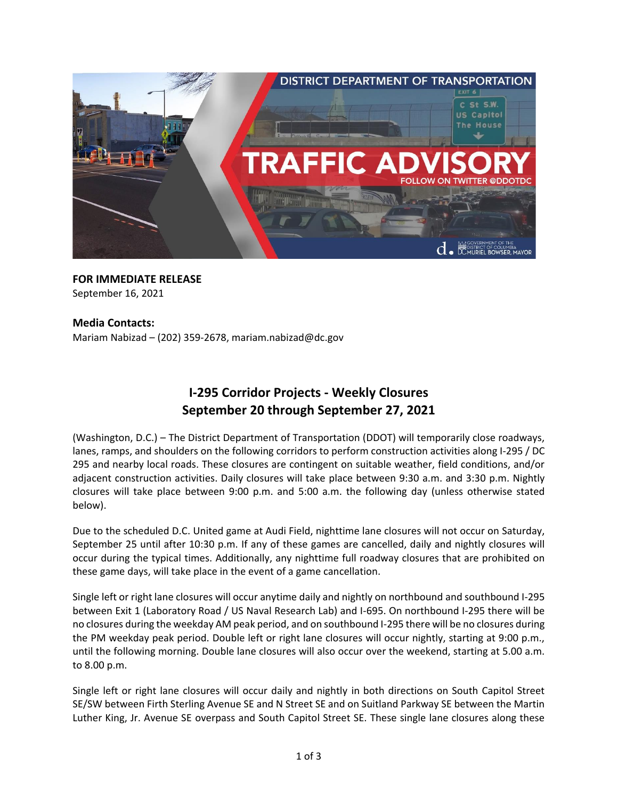

## **FOR IMMEDIATE RELEASE** September 16, 2021

### **Media Contacts:**

Mariam Nabizad – (202) 359-2678, [mariam.nabizad@dc.gov](mailto:mariam.nabizad@dc.gov)

# **I-295 Corridor Projects - Weekly Closures September 20 through September 27, 2021**

(Washington, D.C.) – The District Department of Transportation (DDOT) will temporarily close roadways, lanes, ramps, and shoulders on the following corridors to perform construction activities along I-295 / DC 295 and nearby local roads. These closures are contingent on suitable weather, field conditions, and/or adjacent construction activities. Daily closures will take place between 9:30 a.m. and 3:30 p.m. Nightly closures will take place between 9:00 p.m. and 5:00 a.m. the following day (unless otherwise stated below).

Due to the scheduled D.C. United game at Audi Field, nighttime lane closures will not occur on Saturday, September 25 until after 10:30 p.m. If any of these games are cancelled, daily and nightly closures will occur during the typical times. Additionally, any nighttime full roadway closures that are prohibited on these game days, will take place in the event of a game cancellation.

Single left or right lane closures will occur anytime daily and nightly on northbound and southbound I-295 between Exit 1 (Laboratory Road / US Naval Research Lab) and I-695. On northbound I-295 there will be no closures during the weekday AM peak period, and on southbound I-295 there will be no closures during the PM weekday peak period. Double left or right lane closures will occur nightly, starting at 9:00 p.m., until the following morning. Double lane closures will also occur over the weekend, starting at 5.00 a.m. to 8.00 p.m.

Single left or right lane closures will occur daily and nightly in both directions on South Capitol Street SE/SW between Firth Sterling Avenue SE and N Street SE and on Suitland Parkway SE between the Martin Luther King, Jr. Avenue SE overpass and South Capitol Street SE. These single lane closures along these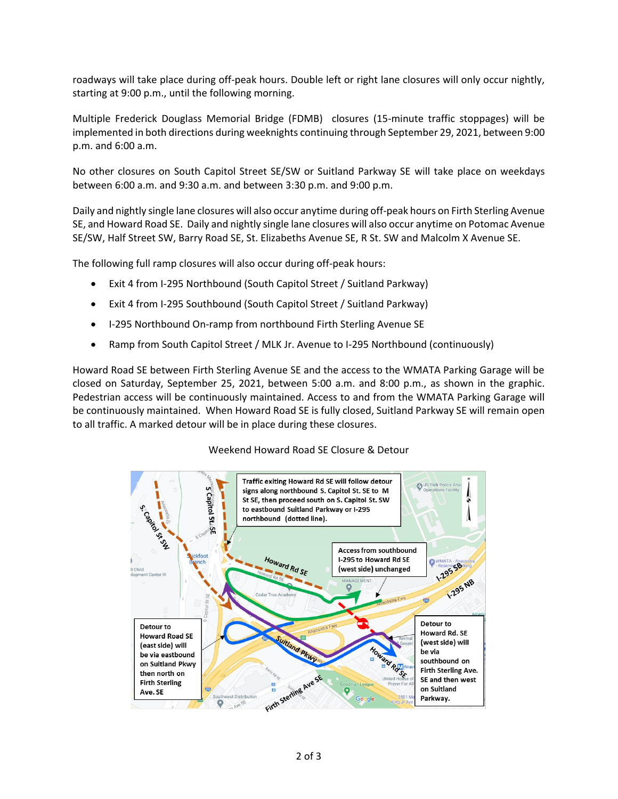roadways will take place during off-peak hours. Double left or right lane closures will only occur nightly, starting at 9:00 p.m., until the following morning.

Multiple Frederick Douglass Memorial Bridge (FDMB) closures (15-minute traffic stoppages) will be implemented in both directions during weeknights continuing through September 29, 2021, between 9:00 p.m. and 6:00 a.m.

No other closures on South Capitol Street SE/SW or Suitland Parkway SE will take place on weekdays between 6:00 a.m. and 9:30 a.m. and between 3:30 p.m. and 9:00 p.m.

Daily and nightly single lane closures will also occur anytime during off-peak hours on Firth Sterling Avenue SE, and Howard Road SE. Daily and nightly single lane closures will also occur anytime on Potomac Avenue SE/SW, Half Street SW, Barry Road SE, St. Elizabeths Avenue SE, R St. SW and Malcolm X Avenue SE.

The following full ramp closures will also occur during off-peak hours:

- Exit 4 from I-295 Northbound (South Capitol Street / Suitland Parkway)
- Exit 4 from I-295 Southbound (South Capitol Street / Suitland Parkway)
- I-295 Northbound On-ramp from northbound Firth Sterling Avenue SE
- Ramp from South Capitol Street / MLK Jr. Avenue to I-295 Northbound (continuously)

Howard Road SE between Firth Sterling Avenue SE and the access to the WMATA Parking Garage will be closed on Saturday, September 25, 2021, between 5:00 a.m. and 8:00 p.m., as shown in the graphic. Pedestrian access will be continuously maintained. Access to and from the WMATA Parking Garage will be continuously maintained. When Howard Road SE is fully closed, Suitland Parkway SE will remain open to all traffic. A marked detour will be in place during these closures.

### Weekend Howard Road SE Closure & Detour